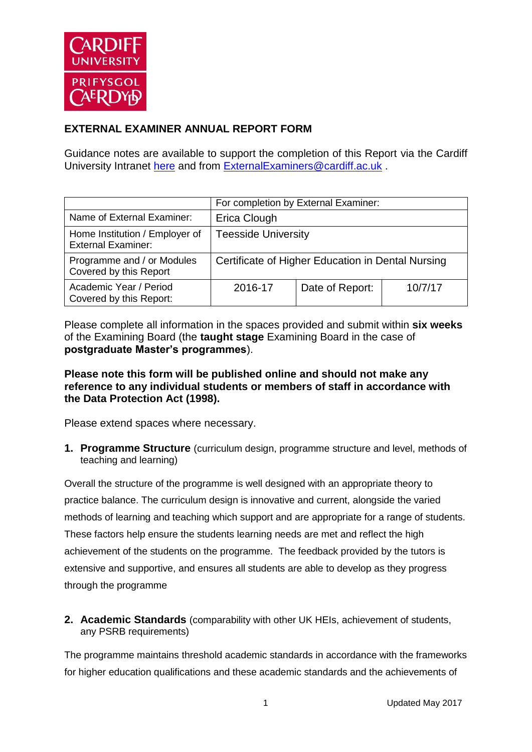

# **EXTERNAL EXAMINER ANNUAL REPORT FORM**

Guidance notes are available to support the completion of this Report via the Cardiff University Intranet [here](https://intranet.cardiff.ac.uk/staff/teaching-and-supporting-students/exams-and-assessment/exam-boards-and-external-examiners/for-current-external-examiners/external-examiners-reports) and from [ExternalExaminers@cardiff.ac.uk](mailto:ExternalExaminers@cardiff.ac.uk) .

|                                                             | For completion by External Examiner:              |                 |         |
|-------------------------------------------------------------|---------------------------------------------------|-----------------|---------|
| Name of External Examiner:                                  | Erica Clough                                      |                 |         |
| Home Institution / Employer of<br><b>External Examiner:</b> | <b>Teesside University</b>                        |                 |         |
| Programme and / or Modules<br>Covered by this Report        | Certificate of Higher Education in Dental Nursing |                 |         |
| Academic Year / Period<br>Covered by this Report:           | 2016-17                                           | Date of Report: | 10/7/17 |

Please complete all information in the spaces provided and submit within **six weeks** of the Examining Board (the **taught stage** Examining Board in the case of **postgraduate Master's programmes**).

### **Please note this form will be published online and should not make any reference to any individual students or members of staff in accordance with the Data Protection Act (1998).**

Please extend spaces where necessary.

**1. Programme Structure** (curriculum design, programme structure and level, methods of teaching and learning)

Overall the structure of the programme is well designed with an appropriate theory to practice balance. The curriculum design is innovative and current, alongside the varied methods of learning and teaching which support and are appropriate for a range of students. These factors help ensure the students learning needs are met and reflect the high achievement of the students on the programme. The feedback provided by the tutors is extensive and supportive, and ensures all students are able to develop as they progress through the programme

**2. Academic Standards** (comparability with other UK HEIs, achievement of students, any PSRB requirements)

The programme maintains threshold academic standards in accordance with the frameworks for higher education qualifications and these academic standards and the achievements of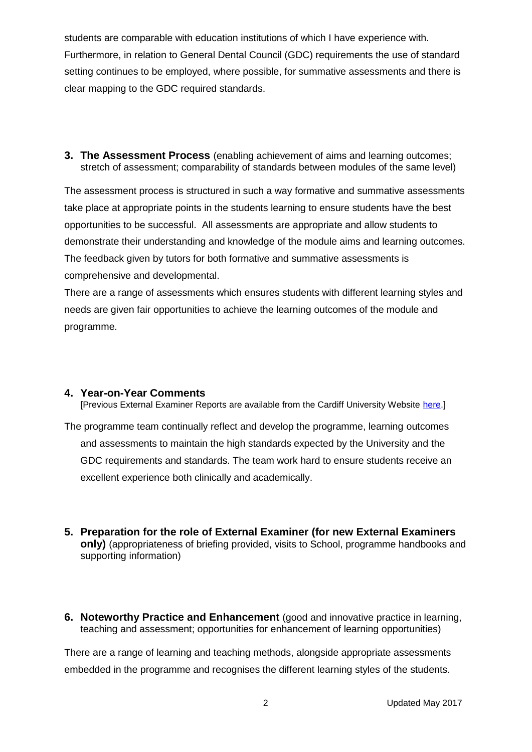students are comparable with education institutions of which I have experience with. Furthermore, in relation to General Dental Council (GDC) requirements the use of standard setting continues to be employed, where possible, for summative assessments and there is clear mapping to the GDC required standards.

**3. The Assessment Process** (enabling achievement of aims and learning outcomes; stretch of assessment; comparability of standards between modules of the same level)

The assessment process is structured in such a way formative and summative assessments take place at appropriate points in the students learning to ensure students have the best opportunities to be successful. All assessments are appropriate and allow students to demonstrate their understanding and knowledge of the module aims and learning outcomes. The feedback given by tutors for both formative and summative assessments is comprehensive and developmental.

There are a range of assessments which ensures students with different learning styles and needs are given fair opportunities to achieve the learning outcomes of the module and programme.

#### **4. Year-on-Year Comments**

[Previous External Examiner Reports are available from the Cardiff University Website [here.](https://www.cardiff.ac.uk/public-information/quality-and-standards/external-examiner-reports)]

The programme team continually reflect and develop the programme, learning outcomes and assessments to maintain the high standards expected by the University and the GDC requirements and standards. The team work hard to ensure students receive an excellent experience both clinically and academically.

- **5. Preparation for the role of External Examiner (for new External Examiners only)** (appropriateness of briefing provided, visits to School, programme handbooks and supporting information)
- **6. Noteworthy Practice and Enhancement** (good and innovative practice in learning, teaching and assessment; opportunities for enhancement of learning opportunities)

There are a range of learning and teaching methods, alongside appropriate assessments embedded in the programme and recognises the different learning styles of the students.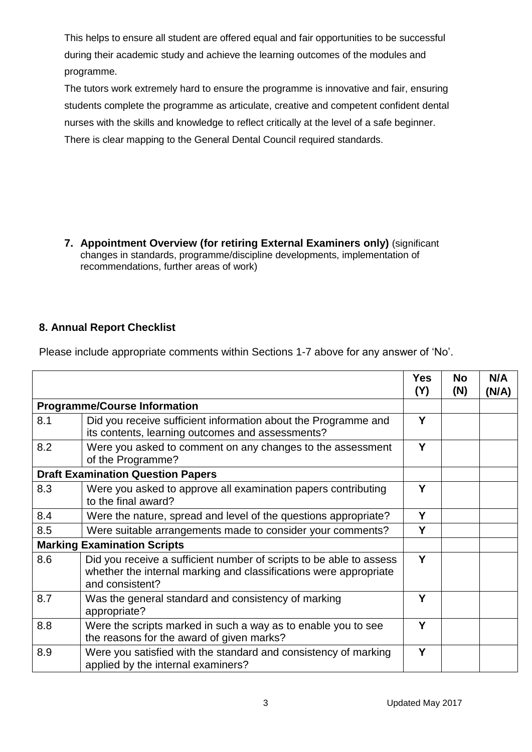This helps to ensure all student are offered equal and fair opportunities to be successful during their academic study and achieve the learning outcomes of the modules and programme.

The tutors work extremely hard to ensure the programme is innovative and fair, ensuring students complete the programme as articulate, creative and competent confident dental nurses with the skills and knowledge to reflect critically at the level of a safe beginner. There is clear mapping to the General Dental Council required standards.

**7. Appointment Overview (for retiring External Examiners only)** (significant changes in standards, programme/discipline developments, implementation of recommendations, further areas of work)

## **8. Annual Report Checklist**

Please include appropriate comments within Sections 1-7 above for any answer of 'No'.

|     |                                                                                                                                                             | <b>Yes</b><br>(Y) | <b>No</b><br>(N) | N/A<br>(N/A) |
|-----|-------------------------------------------------------------------------------------------------------------------------------------------------------------|-------------------|------------------|--------------|
|     | <b>Programme/Course Information</b>                                                                                                                         |                   |                  |              |
| 8.1 | Did you receive sufficient information about the Programme and<br>its contents, learning outcomes and assessments?                                          | Y                 |                  |              |
| 8.2 | Were you asked to comment on any changes to the assessment<br>of the Programme?                                                                             | Y                 |                  |              |
|     | <b>Draft Examination Question Papers</b>                                                                                                                    |                   |                  |              |
| 8.3 | Were you asked to approve all examination papers contributing<br>to the final award?                                                                        | Y                 |                  |              |
| 8.4 | Were the nature, spread and level of the questions appropriate?                                                                                             | Υ                 |                  |              |
| 8.5 | Were suitable arrangements made to consider your comments?                                                                                                  | Y                 |                  |              |
|     | <b>Marking Examination Scripts</b>                                                                                                                          |                   |                  |              |
| 8.6 | Did you receive a sufficient number of scripts to be able to assess<br>whether the internal marking and classifications were appropriate<br>and consistent? | Y                 |                  |              |
| 8.7 | Was the general standard and consistency of marking<br>appropriate?                                                                                         | Υ                 |                  |              |
| 8.8 | Were the scripts marked in such a way as to enable you to see<br>the reasons for the award of given marks?                                                  | Y                 |                  |              |
| 8.9 | Were you satisfied with the standard and consistency of marking<br>applied by the internal examiners?                                                       | Y                 |                  |              |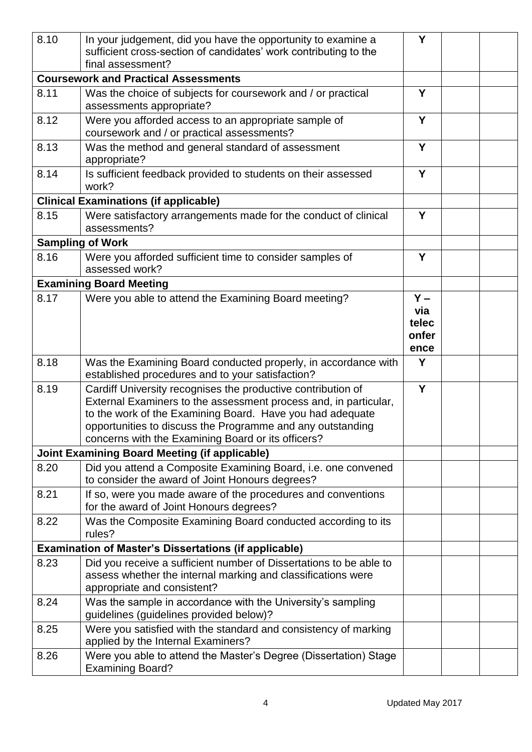| 8.10                                        | In your judgement, did you have the opportunity to examine a<br>sufficient cross-section of candidates' work contributing to the<br>final assessment?                                                                                                                                                             |                                        |  |  |
|---------------------------------------------|-------------------------------------------------------------------------------------------------------------------------------------------------------------------------------------------------------------------------------------------------------------------------------------------------------------------|----------------------------------------|--|--|
| <b>Coursework and Practical Assessments</b> |                                                                                                                                                                                                                                                                                                                   |                                        |  |  |
| 8.11                                        | Was the choice of subjects for coursework and / or practical<br>assessments appropriate?                                                                                                                                                                                                                          | Y                                      |  |  |
| 8.12                                        | Were you afforded access to an appropriate sample of<br>coursework and / or practical assessments?                                                                                                                                                                                                                | Y                                      |  |  |
| 8.13                                        | Was the method and general standard of assessment<br>appropriate?                                                                                                                                                                                                                                                 | Y                                      |  |  |
| 8.14                                        | Is sufficient feedback provided to students on their assessed<br>work?                                                                                                                                                                                                                                            | Y                                      |  |  |
|                                             | <b>Clinical Examinations (if applicable)</b>                                                                                                                                                                                                                                                                      |                                        |  |  |
| 8.15                                        | Were satisfactory arrangements made for the conduct of clinical                                                                                                                                                                                                                                                   | Y                                      |  |  |
|                                             | assessments?                                                                                                                                                                                                                                                                                                      |                                        |  |  |
|                                             | <b>Sampling of Work</b>                                                                                                                                                                                                                                                                                           |                                        |  |  |
| 8.16                                        | Were you afforded sufficient time to consider samples of<br>assessed work?                                                                                                                                                                                                                                        | Y                                      |  |  |
|                                             | <b>Examining Board Meeting</b>                                                                                                                                                                                                                                                                                    |                                        |  |  |
| 8.17                                        | Were you able to attend the Examining Board meeting?                                                                                                                                                                                                                                                              | $Y -$<br>via<br>telec<br>onfer<br>ence |  |  |
| 8.18                                        | Was the Examining Board conducted properly, in accordance with<br>established procedures and to your satisfaction?                                                                                                                                                                                                | Y                                      |  |  |
| 8.19                                        | Cardiff University recognises the productive contribution of<br>External Examiners to the assessment process and, in particular,<br>to the work of the Examining Board. Have you had adequate<br>opportunities to discuss the Programme and any outstanding<br>concerns with the Examining Board or its officers? | Y                                      |  |  |
|                                             | <b>Joint Examining Board Meeting (if applicable)</b>                                                                                                                                                                                                                                                              |                                        |  |  |
| 8.20                                        | Did you attend a Composite Examining Board, i.e. one convened<br>to consider the award of Joint Honours degrees?                                                                                                                                                                                                  |                                        |  |  |
| 8.21                                        | If so, were you made aware of the procedures and conventions<br>for the award of Joint Honours degrees?                                                                                                                                                                                                           |                                        |  |  |
| 8.22                                        | Was the Composite Examining Board conducted according to its<br>rules?                                                                                                                                                                                                                                            |                                        |  |  |
|                                             | <b>Examination of Master's Dissertations (if applicable)</b>                                                                                                                                                                                                                                                      |                                        |  |  |
| 8.23                                        | Did you receive a sufficient number of Dissertations to be able to<br>assess whether the internal marking and classifications were<br>appropriate and consistent?                                                                                                                                                 |                                        |  |  |
| 8.24                                        | Was the sample in accordance with the University's sampling<br>guidelines (guidelines provided below)?                                                                                                                                                                                                            |                                        |  |  |
| 8.25                                        | Were you satisfied with the standard and consistency of marking<br>applied by the Internal Examiners?                                                                                                                                                                                                             |                                        |  |  |
| 8.26                                        | Were you able to attend the Master's Degree (Dissertation) Stage<br><b>Examining Board?</b>                                                                                                                                                                                                                       |                                        |  |  |